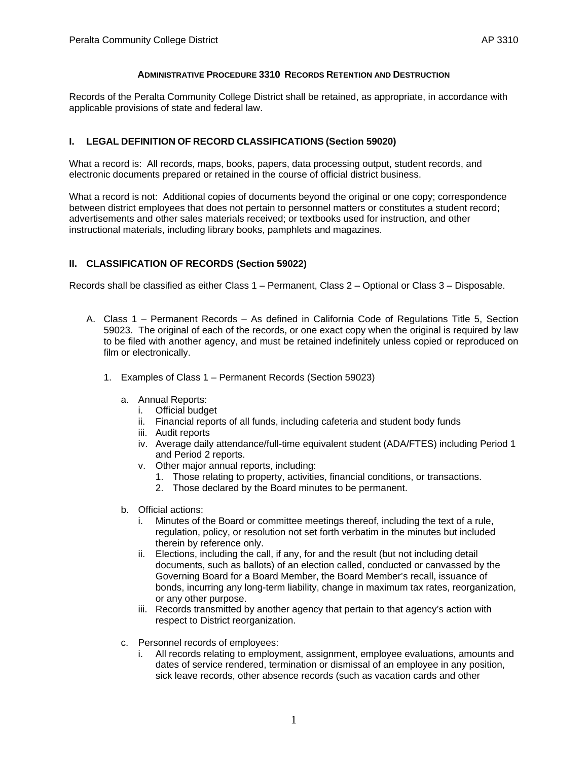#### **ADMINISTRATIVE PROCEDURE 3310 RECORDS RETENTION AND DESTRUCTION**

Records of the Peralta Community College District shall be retained, as appropriate, in accordance with applicable provisions of state and federal law.

### **I. LEGAL DEFINITION OF RECORD CLASSIFICATIONS (Section 59020)**

What a record is: All records, maps, books, papers, data processing output, student records, and electronic documents prepared or retained in the course of official district business.

What a record is not: Additional copies of documents beyond the original or one copy; correspondence between district employees that does not pertain to personnel matters or constitutes a student record; advertisements and other sales materials received; or textbooks used for instruction, and other instructional materials, including library books, pamphlets and magazines.

### **II. CLASSIFICATION OF RECORDS (Section 59022)**

Records shall be classified as either Class 1 – Permanent, Class 2 – Optional or Class 3 – Disposable.

- A. Class 1 Permanent Records As defined in California Code of Regulations Title 5, Section 59023. The original of each of the records, or one exact copy when the original is required by law to be filed with another agency, and must be retained indefinitely unless copied or reproduced on film or electronically.
	- 1. Examples of Class 1 Permanent Records (Section 59023)
		- a. Annual Reports:
			- i. Official budget
			- ii. Financial reports of all funds, including cafeteria and student body funds
			- iii. Audit reports
			- iv. Average daily attendance/full-time equivalent student (ADA/FTES) including Period 1 and Period 2 reports.
			- v. Other major annual reports, including:
				- 1. Those relating to property, activities, financial conditions, or transactions.
				- 2. Those declared by the Board minutes to be permanent.
		- b. Official actions:
			- i. Minutes of the Board or committee meetings thereof, including the text of a rule, regulation, policy, or resolution not set forth verbatim in the minutes but included therein by reference only.
			- ii. Elections, including the call, if any, for and the result (but not including detail documents, such as ballots) of an election called, conducted or canvassed by the Governing Board for a Board Member, the Board Member's recall, issuance of bonds, incurring any long-term liability, change in maximum tax rates, reorganization, or any other purpose.
			- iii. Records transmitted by another agency that pertain to that agency's action with respect to District reorganization.
		- c. Personnel records of employees:
			- i. All records relating to employment, assignment, employee evaluations, amounts and dates of service rendered, termination or dismissal of an employee in any position, sick leave records, other absence records (such as vacation cards and other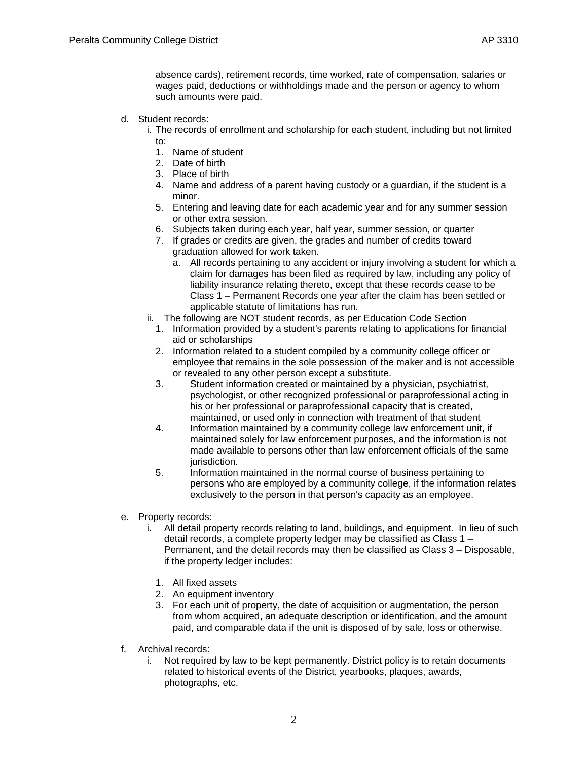## d. Student records:

- i. The records of enrollment and scholarship for each student, including but not limited to:
	- 1. Name of student

such amounts were paid.

- 2. Date of birth
- 3. Place of birth
- 4. Name and address of a parent having custody or a guardian, if the student is a minor.
- 5. Entering and leaving date for each academic year and for any summer session or other extra session.
- 6. Subjects taken during each year, half year, summer session, or quarter
- 7. If grades or credits are given, the grades and number of credits toward graduation allowed for work taken.
	- a. All records pertaining to any accident or injury involving a student for which a claim for damages has been filed as required by law, including any policy of liability insurance relating thereto, except that these records cease to be Class 1 – Permanent Records one year after the claim has been settled or applicable statute of limitations has run.
- ii. The following are NOT student records, as per Education Code Section
	- 1. Information provided by a student's parents relating to applications for financial aid or scholarships
	- 2. Information related to a student compiled by a community college officer or employee that remains in the sole possession of the maker and is not accessible or revealed to any other person except a substitute.
	- 3. Student information created or maintained by a physician, psychiatrist, psychologist, or other recognized professional or paraprofessional acting in his or her professional or paraprofessional capacity that is created, maintained, or used only in connection with treatment of that student
	- 4. Information maintained by a community college law enforcement unit, if maintained solely for law enforcement purposes, and the information is not made available to persons other than law enforcement officials of the same jurisdiction.
	- 5. Information maintained in the normal course of business pertaining to persons who are employed by a community college, if the information relates exclusively to the person in that person's capacity as an employee.
- e. Property records:
	- i. All detail property records relating to land, buildings, and equipment. In lieu of such detail records, a complete property ledger may be classified as Class 1 – Permanent, and the detail records may then be classified as Class 3 – Disposable, if the property ledger includes:
		- 1. All fixed assets
		- 2. An equipment inventory
		- 3. For each unit of property, the date of acquisition or augmentation, the person from whom acquired, an adequate description or identification, and the amount paid, and comparable data if the unit is disposed of by sale, loss or otherwise.
- f. Archival records:
	- i. Not required by law to be kept permanently. District policy is to retain documents related to historical events of the District, yearbooks, plaques, awards, photographs, etc.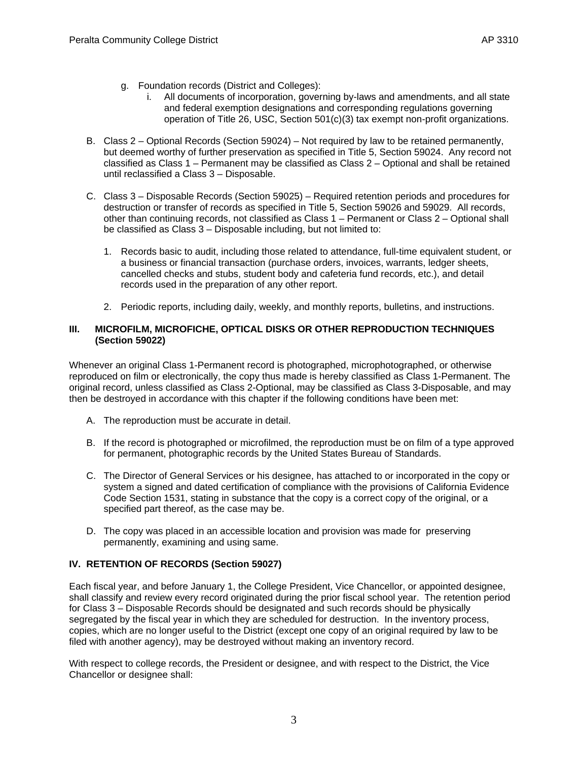- g. Foundation records (District and Colleges):
	- i. All documents of incorporation, governing by-laws and amendments, and all state and federal exemption designations and corresponding regulations governing operation of Title 26, USC, Section 501(c)(3) tax exempt non-profit organizations.
- B. Class 2 Optional Records (Section 59024) Not required by law to be retained permanently, but deemed worthy of further preservation as specified in Title 5, Section 59024. Any record not classified as Class 1 – Permanent may be classified as Class 2 – Optional and shall be retained until reclassified a Class 3 – Disposable.
- C. Class 3 Disposable Records (Section 59025) Required retention periods and procedures for destruction or transfer of records as specified in Title 5, Section 59026 and 59029. All records, other than continuing records, not classified as Class 1 – Permanent or Class 2 – Optional shall be classified as Class 3 – Disposable including, but not limited to:
	- 1. Records basic to audit, including those related to attendance, full-time equivalent student, or a business or financial transaction (purchase orders, invoices, warrants, ledger sheets, cancelled checks and stubs, student body and cafeteria fund records, etc.), and detail records used in the preparation of any other report.
	- 2. Periodic reports, including daily, weekly, and monthly reports, bulletins, and instructions.

#### **III. MICROFILM, MICROFICHE, OPTICAL DISKS OR OTHER REPRODUCTION TECHNIQUES (Section 59022)**

Whenever an original Class 1-Permanent record is photographed, microphotographed, or otherwise reproduced on film or electronically, the copy thus made is hereby classified as Class 1-Permanent. The original record, unless classified as Class 2-Optional, may be classified as Class 3-Disposable, and may then be destroyed in accordance with this chapter if the following conditions have been met:

- A. The reproduction must be accurate in detail.
- B. If the record is photographed or microfilmed, the reproduction must be on film of a type approved for permanent, photographic records by the United States Bureau of Standards.
- C. The Director of General Services or his designee, has attached to or incorporated in the copy or system a signed and dated certification of compliance with the provisions o[f California Evidence](http://www.lexis.com/research/buttonTFLink?_m=6d4d5b626bff1f12789ccc01ff0ad5e3&_xfercite=%3ccite%20cc%3d%22USA%22%3e%3c%21%5bCDATA%5b5%20CCR%2059022%5d%5d%3e%3c%2fcite%3e&_butType=4&_butStat=0&_butNum=1&_butInline=1&_butinfo=CA%20EVID%201531&_f)  [Code Section 1531](http://www.lexis.com/research/buttonTFLink?_m=6d4d5b626bff1f12789ccc01ff0ad5e3&_xfercite=%3ccite%20cc%3d%22USA%22%3e%3c%21%5bCDATA%5b5%20CCR%2059022%5d%5d%3e%3c%2fcite%3e&_butType=4&_butStat=0&_butNum=1&_butInline=1&_butinfo=CA%20EVID%201531&_f), stating in substance that the copy is a correct copy of the original, or a specified part thereof, as the case may be.
- D. The copy was placed in an accessible location and provision was made for preserving permanently, examining and using same.

#### **IV. RETENTION OF RECORDS (Section 59027)**

Each fiscal year, and before January 1, the College President, Vice Chancellor, or appointed designee, shall classify and review every record originated during the prior fiscal school year. The retention period for Class 3 – Disposable Records should be designated and such records should be physically segregated by the fiscal year in which they are scheduled for destruction. In the inventory process, copies, which are no longer useful to the District (except one copy of an original required by law to be filed with another agency), may be destroyed without making an inventory record.

With respect to college records, the President or designee, and with respect to the District, the Vice Chancellor or designee shall: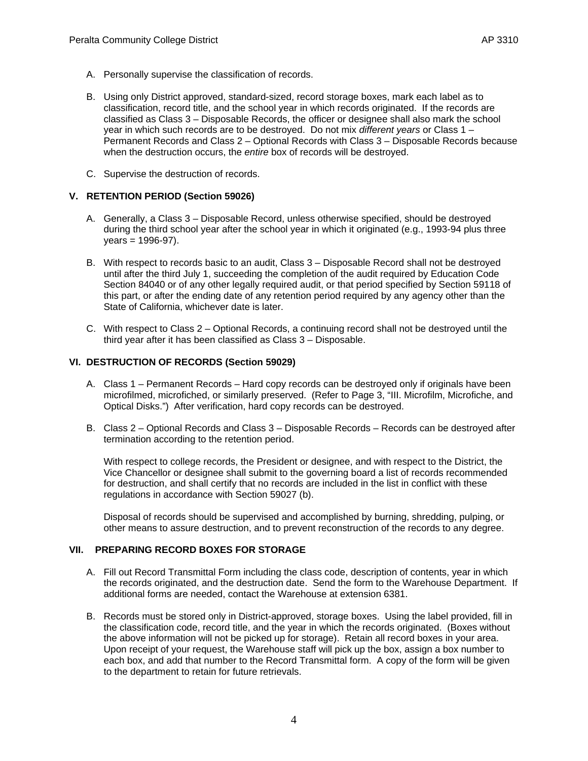- A. Personally supervise the classification of records.
- B. Using only District approved, standard-sized, record storage boxes, mark each label as to classification, record title, and the school year in which records originated. If the records are classified as Class 3 – Disposable Records, the officer or designee shall also mark the school year in which such records are to be destroyed. Do not mix *different years* or Class 1 – Permanent Records and Class 2 – Optional Records with Class 3 – Disposable Records because when the destruction occurs, the *entire* box of records will be destroyed.
- C. Supervise the destruction of records.

## **V. RETENTION PERIOD (Section 59026)**

- A. Generally, a Class 3 Disposable Record, unless otherwise specified, should be destroyed during the third school year after the school year in which it originated (e.g., 1993-94 plus three  $years = 1996-97)$ .
- B. With respect to records basic to an audit, Class 3 Disposable Record shall not be destroyed until after the third July 1, succeeding the completion of the audit required by Education Code Section 84040 or of any other legally required audit, or that period specified by Section 59118 of this part, or after the ending date of any retention period required by any agency other than the State of California, whichever date is later.
- C. With respect to Class 2 Optional Records, a continuing record shall not be destroyed until the third year after it has been classified as Class 3 – Disposable.

## **VI. DESTRUCTION OF RECORDS (Section 59029)**

- A. Class 1 Permanent Records Hard copy records can be destroyed only if originals have been microfilmed, microfiched, or similarly preserved. (Refer to Page 3, "III. Microfilm, Microfiche, and Optical Disks.") After verification, hard copy records can be destroyed.
- B. Class 2 Optional Records and Class 3 Disposable Records Records can be destroyed after termination according to the retention period.

With respect to college records, the President or designee, and with respect to the District, the Vice Chancellor or designee shall submit to the governing board a list of records recommended for destruction, and shall certify that no records are included in the list in conflict with these regulations in accordance with Section 59027 (b).

Disposal of records should be supervised and accomplished by burning, shredding, pulping, or other means to assure destruction, and to prevent reconstruction of the records to any degree.

## **VII. PREPARING RECORD BOXES FOR STORAGE**

- A. Fill out Record Transmittal Form including the class code, description of contents, year in which the records originated, and the destruction date. Send the form to the Warehouse Department. If additional forms are needed, contact the Warehouse at extension 6381.
- B. Records must be stored only in District-approved, storage boxes. Using the label provided, fill in the classification code, record title, and the year in which the records originated. (Boxes without the above information will not be picked up for storage). Retain all record boxes in your area. Upon receipt of your request, the Warehouse staff will pick up the box, assign a box number to each box, and add that number to the Record Transmittal form. A copy of the form will be given to the department to retain for future retrievals.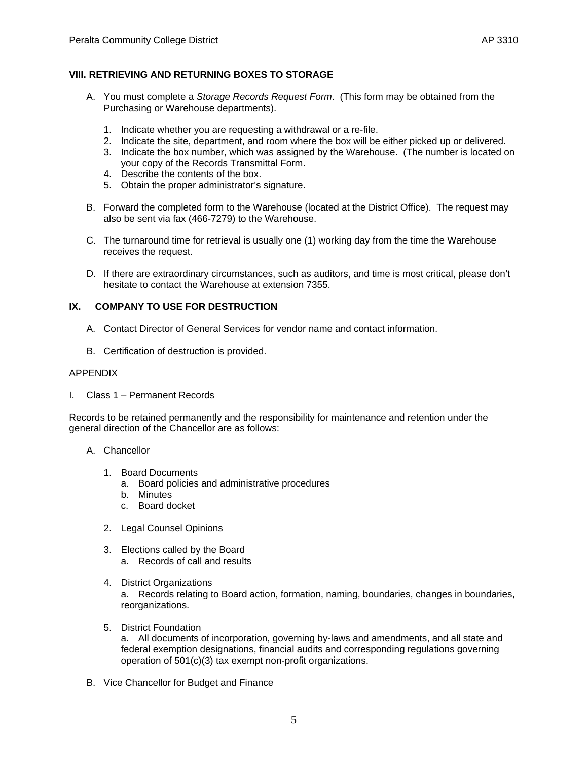## **VIII.RETRIEVING AND RETURNING BOXES TO STORAGE**

- A. You must complete a *Storage Records Request Form*. (This form may be obtained from the Purchasing or Warehouse departments).
	- 1. Indicate whether you are requesting a withdrawal or a re-file.
	- 2. Indicate the site, department, and room where the box will be either picked up or delivered.
	- 3. Indicate the box number, which was assigned by the Warehouse. (The number is located on your copy of the Records Transmittal Form.
	- 4. Describe the contents of the box.
	- 5. Obtain the proper administrator's signature.
- B. Forward the completed form to the Warehouse (located at the District Office). The request may also be sent via fax (466-7279) to the Warehouse.
- C. The turnaround time for retrieval is usually one (1) working day from the time the Warehouse receives the request.
- D. If there are extraordinary circumstances, such as auditors, and time is most critical, please don't hesitate to contact the Warehouse at extension 7355.

## **IX. COMPANY TO USE FOR DESTRUCTION**

- A. Contact Director of General Services for vendor name and contact information.
- B. Certification of destruction is provided.

#### APPENDIX

I. Class 1 – Permanent Records

Records to be retained permanently and the responsibility for maintenance and retention under the general direction of the Chancellor are as follows:

- A. Chancellor
	- 1. Board Documents
		- a. Board policies and administrative procedures
		- b. Minutes
		- c. Board docket
	- 2. Legal Counsel Opinions
	- 3. Elections called by the Board
		- a. Records of call and results
	- 4. District Organizations

a. Records relating to Board action, formation, naming, boundaries, changes in boundaries, reorganizations.

5. District Foundation

a. All documents of incorporation, governing by-laws and amendments, and all state and federal exemption designations, financial audits and corresponding regulations governing operation of 501(c)(3) tax exempt non-profit organizations.

B. Vice Chancellor for Budget and Finance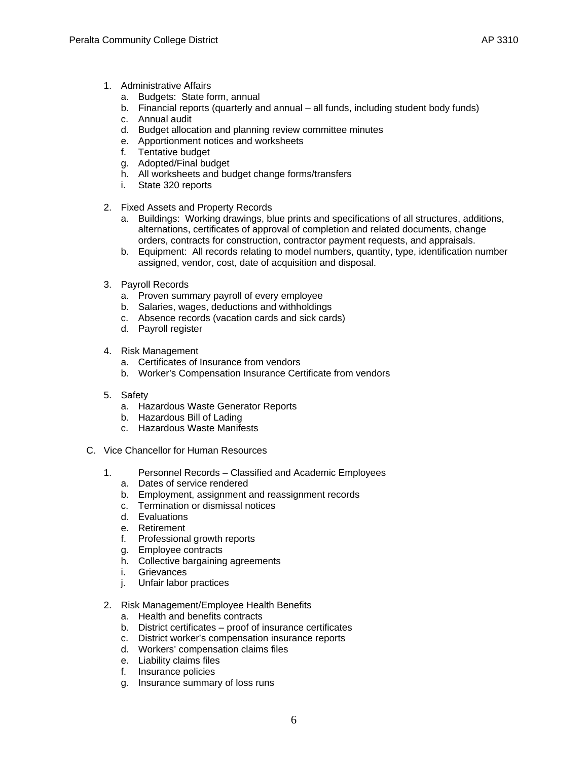- 1. Administrative Affairs
	- a. Budgets: State form, annual
	- b. Financial reports (quarterly and annual all funds, including student body funds)
	- c. Annual audit
	- d. Budget allocation and planning review committee minutes
	- e. Apportionment notices and worksheets
	- f. Tentative budget
	- g. Adopted/Final budget
	- h. All worksheets and budget change forms/transfers
	- i. State 320 reports
- 2. Fixed Assets and Property Records
	- a. Buildings: Working drawings, blue prints and specifications of all structures, additions, alternations, certificates of approval of completion and related documents, change orders, contracts for construction, contractor payment requests, and appraisals.
	- b. Equipment: All records relating to model numbers, quantity, type, identification number assigned, vendor, cost, date of acquisition and disposal.
- 3. Payroll Records
	- a. Proven summary payroll of every employee
	- b. Salaries, wages, deductions and withholdings
	- c. Absence records (vacation cards and sick cards)
	- d. Payroll register
- 4. Risk Management
	- a. Certificates of Insurance from vendors
	- b. Worker's Compensation Insurance Certificate from vendors
- 5. Safety
	- a. Hazardous Waste Generator Reports
	- b. Hazardous Bill of Lading
	- c. Hazardous Waste Manifests
- C. Vice Chancellor for Human Resources
	- 1. Personnel Records Classified and Academic Employees
		- a. Dates of service rendered
		- b. Employment, assignment and reassignment records
		- c. Termination or dismissal notices
		- d. Evaluations
		- e. Retirement
		- f. Professional growth reports
		- g. Employee contracts
		- h. Collective bargaining agreements
		- i. Grievances
		- j. Unfair labor practices
	- 2. Risk Management/Employee Health Benefits
		- a. Health and benefits contracts
		- b. District certificates proof of insurance certificates
		- c. District worker's compensation insurance reports
		- d. Workers' compensation claims files
		- e. Liability claims files
		- f. Insurance policies
		- g. Insurance summary of loss runs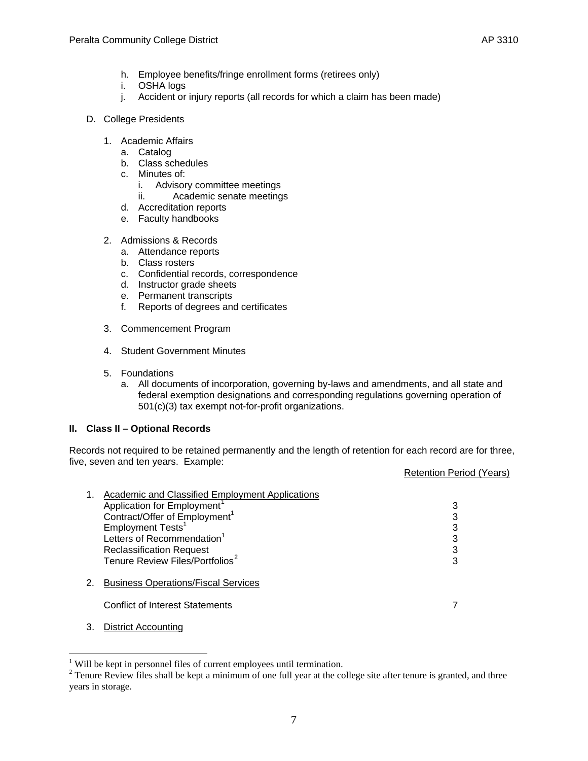- h. Employee benefits/fringe enrollment forms (retirees only)
- i. OSHA logs
- j. Accident or injury reports (all records for which a claim has been made)
- D. College Presidents
	- 1. Academic Affairs
		- a. Catalog
		- b. Class schedules
		- c. Minutes of:
			- i. Advisory committee meetings
			- ii. Academic senate meetings
		- d. Accreditation reports
		- e. Faculty handbooks
	- 2. Admissions & Records
		- a. Attendance reports
		- b. Class rosters
		- c. Confidential records, correspondence
		- d. Instructor grade sheets
		- e. Permanent transcripts
		- f. Reports of degrees and certificates
	- 3. Commencement Program
	- 4. Student Government Minutes
	- 5. Foundations
		- a. All documents of incorporation, governing by-laws and amendments, and all state and federal exemption designations and corresponding regulations governing operation of 501(c)(3) tax exempt not-for-profit organizations.

#### **II. Class II – Optional Records**

Records not required to be retained permanently and the length of retention for each record are for three, five, seven and ten years. Example:

Retention Period (Years)

|    | Academic and Classified Employment Applications |   |
|----|-------------------------------------------------|---|
|    | Application for Employment <sup>1</sup>         | 3 |
|    | Contract/Offer of Employment <sup>1</sup>       | 3 |
|    | Employment Tests <sup>1</sup>                   | 3 |
|    | Letters of Recommendation <sup>1</sup>          | 3 |
|    | <b>Reclassification Request</b>                 | 3 |
|    | Tenure Review Files/Portfolios <sup>2</sup>     | 3 |
| 2. | <b>Business Operations/Fiscal Services</b>      |   |
|    | <b>Conflict of Interest Statements</b>          |   |
|    |                                                 |   |

3. District Accounting

 $\overline{a}$ 

<span id="page-6-0"></span><sup>&</sup>lt;sup>1</sup> Will be kept in personnel files of current employees until termination.

<span id="page-6-1"></span> $2^{2}$  Tenure Review files shall be kept a minimum of one full year at the college site after tenure is granted, and three years in storage.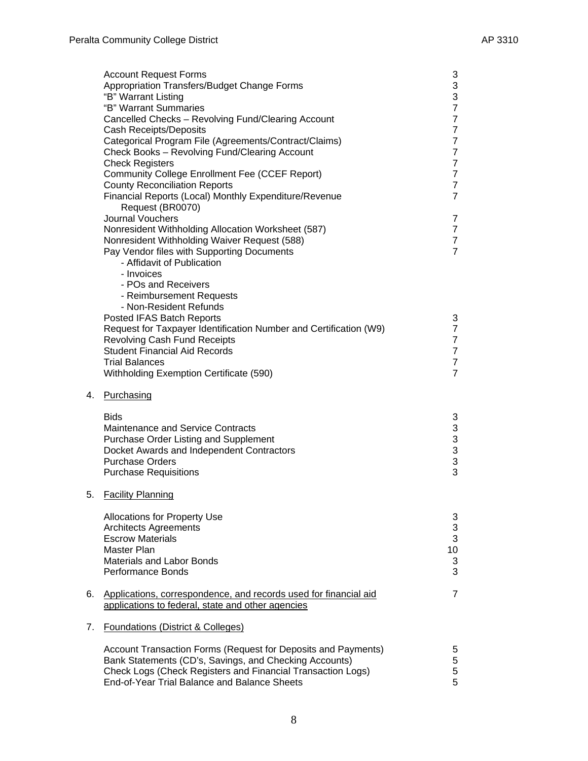|    | <b>Account Request Forms</b><br>Appropriation Transfers/Budget Change Forms<br>"B" Warrant Listing<br>"B" Warrant Summaries | 3<br>$\frac{3}{3}$<br>$\overline{7}$ |
|----|-----------------------------------------------------------------------------------------------------------------------------|--------------------------------------|
|    | Cancelled Checks - Revolving Fund/Clearing Account                                                                          | $\overline{7}$                       |
|    | <b>Cash Receipts/Deposits</b>                                                                                               | $\overline{7}$                       |
|    | Categorical Program File (Agreements/Contract/Claims)                                                                       | $\overline{7}$                       |
|    | Check Books - Revolving Fund/Clearing Account                                                                               | $\overline{7}$                       |
|    | <b>Check Registers</b>                                                                                                      | $\overline{7}$<br>$\overline{7}$     |
|    | <b>Community College Enrollment Fee (CCEF Report)</b><br><b>County Reconciliation Reports</b>                               | $\overline{7}$                       |
|    | Financial Reports (Local) Monthly Expenditure/Revenue                                                                       | $\overline{7}$                       |
|    | Request (BR0070)                                                                                                            |                                      |
|    | <b>Journal Vouchers</b>                                                                                                     | 7                                    |
|    | Nonresident Withholding Allocation Worksheet (587)                                                                          | $\overline{7}$                       |
|    | Nonresident Withholding Waiver Request (588)                                                                                | $\overline{7}$                       |
|    | Pay Vendor files with Supporting Documents                                                                                  | $\overline{7}$                       |
|    | - Affidavit of Publication                                                                                                  |                                      |
|    | - Invoices                                                                                                                  |                                      |
|    | - POs and Receivers<br>- Reimbursement Requests                                                                             |                                      |
|    | - Non-Resident Refunds                                                                                                      |                                      |
|    | Posted IFAS Batch Reports                                                                                                   | 3                                    |
|    | Request for Taxpayer Identification Number and Certification (W9)                                                           | $\overline{7}$                       |
|    | <b>Revolving Cash Fund Receipts</b>                                                                                         | $\overline{7}$                       |
|    | <b>Student Financial Aid Records</b>                                                                                        | $\overline{7}$                       |
|    | <b>Trial Balances</b>                                                                                                       | $\overline{7}$                       |
|    | Withholding Exemption Certificate (590)                                                                                     | $\overline{7}$                       |
| 4. | Purchasing                                                                                                                  |                                      |
|    | <b>Bids</b>                                                                                                                 | 3                                    |
|    | Maintenance and Service Contracts                                                                                           | $\ensuremath{\mathsf{3}}$            |
|    | Purchase Order Listing and Supplement                                                                                       | $\mathbf{3}$                         |
|    | Docket Awards and Independent Contractors                                                                                   | 3                                    |
|    | <b>Purchase Orders</b><br><b>Purchase Requisitions</b>                                                                      | 3<br>3                               |
|    |                                                                                                                             |                                      |
| 5. | <b>Facility Planning</b>                                                                                                    |                                      |
|    | Allocations for Property Use                                                                                                | 3                                    |
|    | <b>Architects Agreements</b>                                                                                                | $\ensuremath{\mathsf{3}}$            |
|    | <b>Escrow Materials</b>                                                                                                     | $\mathbf{3}$                         |
|    | Master Plan                                                                                                                 | 10                                   |
|    | <b>Materials and Labor Bonds</b><br><b>Performance Bonds</b>                                                                | $\ensuremath{\mathsf{3}}$<br>3       |
|    |                                                                                                                             |                                      |
| 6. | Applications, correspondence, and records used for financial aid                                                            | $\overline{7}$                       |
|    | applications to federal, state and other agencies                                                                           |                                      |
| 7. | <b>Foundations (District &amp; Colleges)</b>                                                                                |                                      |
|    | Account Transaction Forms (Request for Deposits and Payments)                                                               | 5                                    |
|    | Bank Statements (CD's, Savings, and Checking Accounts)                                                                      | $\mathbf 5$                          |
|    | Check Logs (Check Registers and Financial Transaction Logs)                                                                 | 5                                    |
|    | End-of-Year Trial Balance and Balance Sheets                                                                                | 5                                    |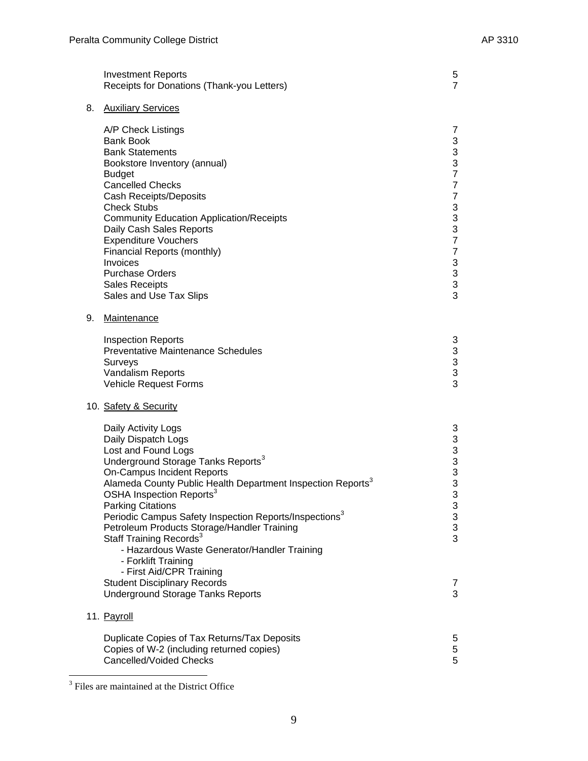|    | <b>Investment Reports</b><br>Receipts for Donations (Thank-you Letters)                                                                                                                                                                                                                                                                                                                                                                                                                                                                                                                                                                                   | 5<br>$\overline{7}$                                                                                                                                                                                                                                                               |
|----|-----------------------------------------------------------------------------------------------------------------------------------------------------------------------------------------------------------------------------------------------------------------------------------------------------------------------------------------------------------------------------------------------------------------------------------------------------------------------------------------------------------------------------------------------------------------------------------------------------------------------------------------------------------|-----------------------------------------------------------------------------------------------------------------------------------------------------------------------------------------------------------------------------------------------------------------------------------|
| 8. | <b>Auxiliary Services</b>                                                                                                                                                                                                                                                                                                                                                                                                                                                                                                                                                                                                                                 |                                                                                                                                                                                                                                                                                   |
|    | A/P Check Listings<br><b>Bank Book</b><br><b>Bank Statements</b><br>Bookstore Inventory (annual)<br><b>Budget</b><br><b>Cancelled Checks</b><br><b>Cash Receipts/Deposits</b><br><b>Check Stubs</b><br><b>Community Education Application/Receipts</b><br>Daily Cash Sales Reports<br><b>Expenditure Vouchers</b><br>Financial Reports (monthly)<br>Invoices<br><b>Purchase Orders</b><br><b>Sales Receipts</b><br>Sales and Use Tax Slips                                                                                                                                                                                                                | 7<br>$\sqrt{3}$<br>$\ensuremath{\mathsf{3}}$<br>3<br>$\overline{7}$<br>$\overline{7}$<br>$\overline{7}$<br>$\ensuremath{\mathsf{3}}$<br>$\begin{array}{c} 3 \\ 3 \\ 7 \end{array}$<br>$\overline{7}$<br>$\sqrt{3}$<br>$\ensuremath{\mathsf{3}}$<br>$\ensuremath{\mathsf{3}}$<br>3 |
| 9. | Maintenance                                                                                                                                                                                                                                                                                                                                                                                                                                                                                                                                                                                                                                               |                                                                                                                                                                                                                                                                                   |
|    | <b>Inspection Reports</b><br><b>Preventative Maintenance Schedules</b><br>Surveys<br>Vandalism Reports<br>Vehicle Request Forms                                                                                                                                                                                                                                                                                                                                                                                                                                                                                                                           | 3<br>$\begin{array}{c} 3 \\ 3 \\ 3 \end{array}$                                                                                                                                                                                                                                   |
|    | 10. Safety & Security                                                                                                                                                                                                                                                                                                                                                                                                                                                                                                                                                                                                                                     |                                                                                                                                                                                                                                                                                   |
|    | Daily Activity Logs<br>Daily Dispatch Logs<br>Lost and Found Logs<br>Underground Storage Tanks Reports <sup>3</sup><br><b>On-Campus Incident Reports</b><br>Alameda County Public Health Department Inspection Reports <sup>3</sup><br>OSHA Inspection Reports <sup>3</sup><br><b>Parking Citations</b><br>Periodic Campus Safety Inspection Reports/Inspections <sup>3</sup><br>Petroleum Products Storage/Handler Training<br>Staff Training Records <sup>3</sup><br>- Hazardous Waste Generator/Handler Training<br>- Forklift Training<br>- First Aid/CPR Training<br><b>Student Disciplinary Records</b><br><b>Underground Storage Tanks Reports</b> | 3<br>$\ensuremath{\mathsf{3}}$<br>$\ensuremath{\mathsf{3}}$<br>3<br>$\frac{3}{3}$<br>3<br>3<br>$\mathfrak{S}$<br>$\mathbf{3}$<br>3<br>$\overline{7}$<br>3                                                                                                                         |
|    | 11. Payroll                                                                                                                                                                                                                                                                                                                                                                                                                                                                                                                                                                                                                                               |                                                                                                                                                                                                                                                                                   |
|    | Duplicate Copies of Tax Returns/Tax Deposits<br>Copies of W-2 (including returned copies)<br>Cancelled/Voided Checks                                                                                                                                                                                                                                                                                                                                                                                                                                                                                                                                      | 5<br>$\,$ 5 $\,$<br>5                                                                                                                                                                                                                                                             |

<span id="page-8-0"></span><sup>&</sup>lt;sup>3</sup> Files are maintained at the District Office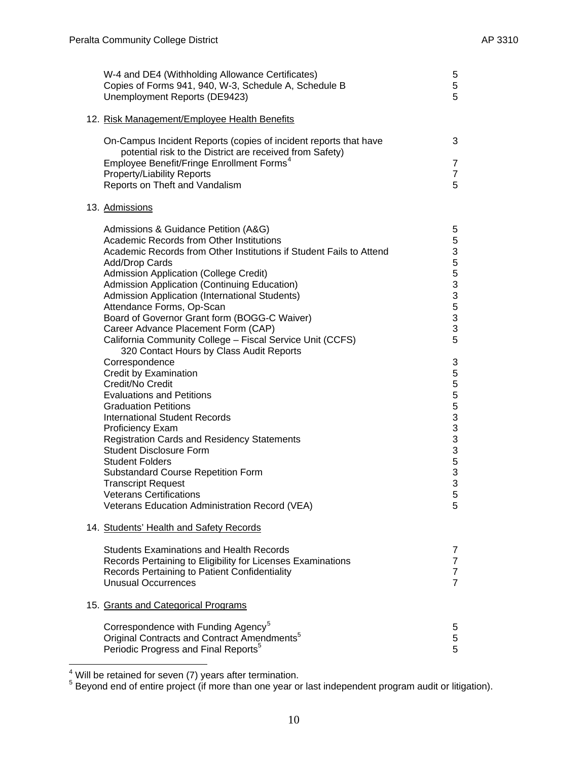| W-4 and DE4 (Withholding Allowance Certificates)<br>Copies of Forms 941, 940, W-3, Schedule A, Schedule B<br>Unemployment Reports (DE9423) | 5<br>5<br>5                      |
|--------------------------------------------------------------------------------------------------------------------------------------------|----------------------------------|
| 12. Risk Management/Employee Health Benefits                                                                                               |                                  |
| On-Campus Incident Reports (copies of incident reports that have                                                                           | 3                                |
| potential risk to the District are received from Safety)<br>Employee Benefit/Fringe Enrollment Forms <sup>4</sup>                          | $\overline{7}$                   |
| <b>Property/Liability Reports</b>                                                                                                          | $\overline{7}$                   |
| Reports on Theft and Vandalism                                                                                                             | 5                                |
| 13. Admissions                                                                                                                             |                                  |
| Admissions & Guidance Petition (A&G)                                                                                                       | 5                                |
| Academic Records from Other Institutions<br>Academic Records from Other Institutions if Student Fails to Attend                            | 5<br>3                           |
| Add/Drop Cards                                                                                                                             | 5                                |
| Admission Application (College Credit)                                                                                                     | 5                                |
| Admission Application (Continuing Education)                                                                                               | 3                                |
| Admission Application (International Students)                                                                                             | 3                                |
| Attendance Forms, Op-Scan<br>Board of Governor Grant form (BOGG-C Waiver)                                                                  | 5<br>$\ensuremath{\mathsf{3}}$   |
| Career Advance Placement Form (CAP)                                                                                                        | $\ensuremath{\mathsf{3}}$        |
| California Community College - Fiscal Service Unit (CCFS)<br>320 Contact Hours by Class Audit Reports                                      | 5                                |
| Correspondence                                                                                                                             | 3                                |
| Credit by Examination                                                                                                                      | 55553                            |
| Credit/No Credit<br><b>Evaluations and Petitions</b>                                                                                       |                                  |
| <b>Graduation Petitions</b>                                                                                                                |                                  |
| <b>International Student Records</b>                                                                                                       |                                  |
| <b>Proficiency Exam</b>                                                                                                                    | 3                                |
| <b>Registration Cards and Residency Statements</b>                                                                                         | $\mathbf{3}$                     |
| <b>Student Disclosure Form</b><br><b>Student Folders</b>                                                                                   | $\ensuremath{\mathsf{3}}$<br>5   |
| <b>Substandard Course Repetition Form</b>                                                                                                  |                                  |
| <b>Transcript Request</b>                                                                                                                  | $\frac{3}{3}$                    |
| Veterans Certifications                                                                                                                    | 5                                |
| Veterans Education Administration Record (VEA)                                                                                             | 5                                |
| 14. Students' Health and Safety Records                                                                                                    |                                  |
| <b>Students Examinations and Health Records</b>                                                                                            | 7                                |
| Records Pertaining to Eligibility for Licenses Examinations                                                                                | $\overline{7}$                   |
| Records Pertaining to Patient Confidentiality<br><b>Unusual Occurrences</b>                                                                | $\overline{7}$<br>$\overline{7}$ |
|                                                                                                                                            |                                  |
| 15. Grants and Categorical Programs                                                                                                        |                                  |
| Correspondence with Funding Agency <sup>5</sup>                                                                                            | 5                                |
| Original Contracts and Contract Amendments <sup>5</sup>                                                                                    | $\sqrt{5}$                       |
| Periodic Progress and Final Reports <sup>5</sup>                                                                                           | 5                                |

<span id="page-9-1"></span><span id="page-9-0"></span>

 4 Will be retained for seven (7) years after termination. 5 Beyond end of entire project (if more than one year or last independent program audit or litigation).